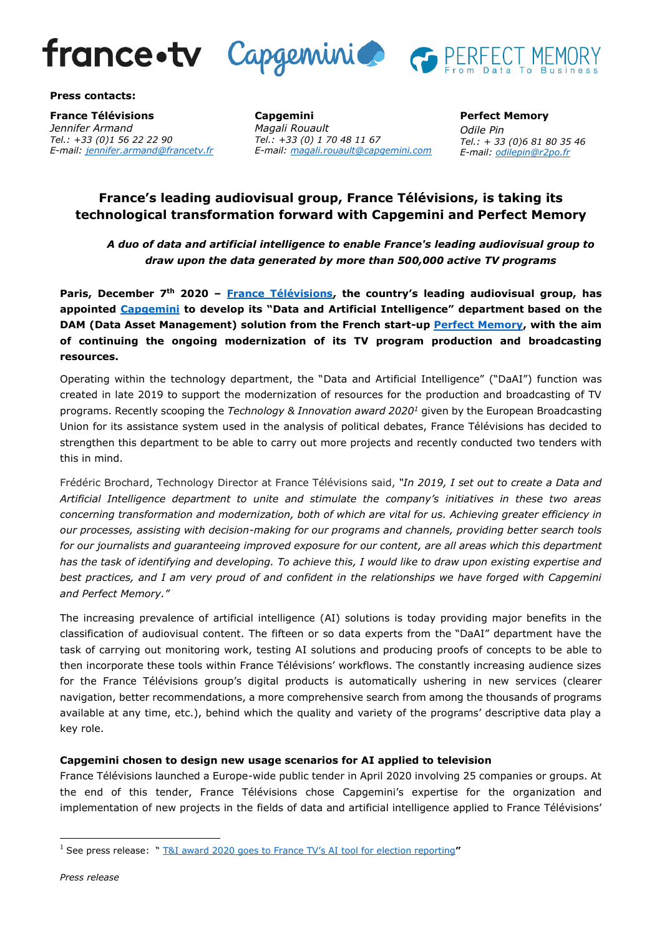

**Press contacts:**

**France Télévisions** *Jennifer Armand Tel.: +33 (0)1 56 22 22 90 E-mail: [jennifer.armand@francetv.fr](mailto:jennifer.armand@francetv.fr)*

**Capgemini**  *Magali Rouault Tel.: +33 (0) 1 70 48 11 67 E-mail: [magali.rouault@capgemini.com](mailto:magali.rouault@capgemini.com)* **Perfect Memory** *Odile Pin Tel.: + 33 (0)6 81 80 35 46 E-mail: [odilepin@r2po.fr](mailto:odilepin@r2po.fr)*

# **France's leading audiovisual group, France Télévisions, is taking its technological transformation forward with Capgemini and Perfect Memory**

*A duo of data and artificial intelligence to enable France's leading audiovisual group to draw upon the data generated by more than 500,000 active TV programs*

**Paris, December 7th 2020 – [France Télévisions,](https://www.francetelevisions.fr/groupe) the country's leading audiovisual group, has appointed [Capgemini](https://www.capgemini.com/fr-fr) to develop its "Data and Artificial Intelligence" department based on the DAM (Data Asset Management) solution from the French start-up [Perfect Memory,](https://www.perfect-memory.com/) with the aim of continuing the ongoing modernization of its TV program production and broadcasting resources.**

Operating within the technology department, the "Data and Artificial Intelligence" ("DaAI") function was created in late 2019 to support the modernization of resources for the production and broadcasting of TV programs. Recently scooping the *Technology & Innovation award 2020<sup>1</sup>* given by the European Broadcasting Union for its assistance system used in the analysis of political debates, France Télévisions has decided to strengthen this department to be able to carry out more projects and recently conducted two tenders with this in mind.

Frédéric Brochard, Technology Director at France Télévisions said, *"In 2019, I set out to create a Data and Artificial Intelligence department to unite and stimulate the company's initiatives in these two areas concerning transformation and modernization, both of which are vital for us. Achieving greater efficiency in our processes, assisting with decision-making for our programs and channels, providing better search tools for our journalists and guaranteeing improved exposure for our content, are all areas which this department has the task of identifying and developing. To achieve this, I would like to draw upon existing expertise and best practices, and I am very proud of and confident in the relationships we have forged with Capgemini and Perfect Memory."*

The increasing prevalence of artificial intelligence (AI) solutions is today providing major benefits in the classification of audiovisual content. The fifteen or so data experts from the "DaAI" department have the task of carrying out monitoring work, testing AI solutions and producing proofs of concepts to be able to then incorporate these tools within France Télévisions' workflows. The constantly increasing audience sizes for the France Télévisions group's digital products is automatically ushering in new services (clearer navigation, better recommendations, a more comprehensive search from among the thousands of programs available at any time, etc.), behind which the quality and variety of the programs' descriptive data play a key role.

## **Capgemini chosen to design new usage scenarios for AI applied to television**

France Télévisions launched a Europe-wide public tender in April 2020 involving 25 companies or groups. At the end of this tender, France Télévisions chose Capgemini's expertise for the organization and implementation of new projects in the fields of data and artificial intelligence applied to France Télévisions'

<sup>1</sup> See press release: " [T&I award 2020 goes to France TV's AI tool for election reporting](https://tech.ebu.ch/news/2020/10/technology--innovation-award-goes-to-france-televisions-ai-tool-for-news-and-rtbfs-control-room-42)**"**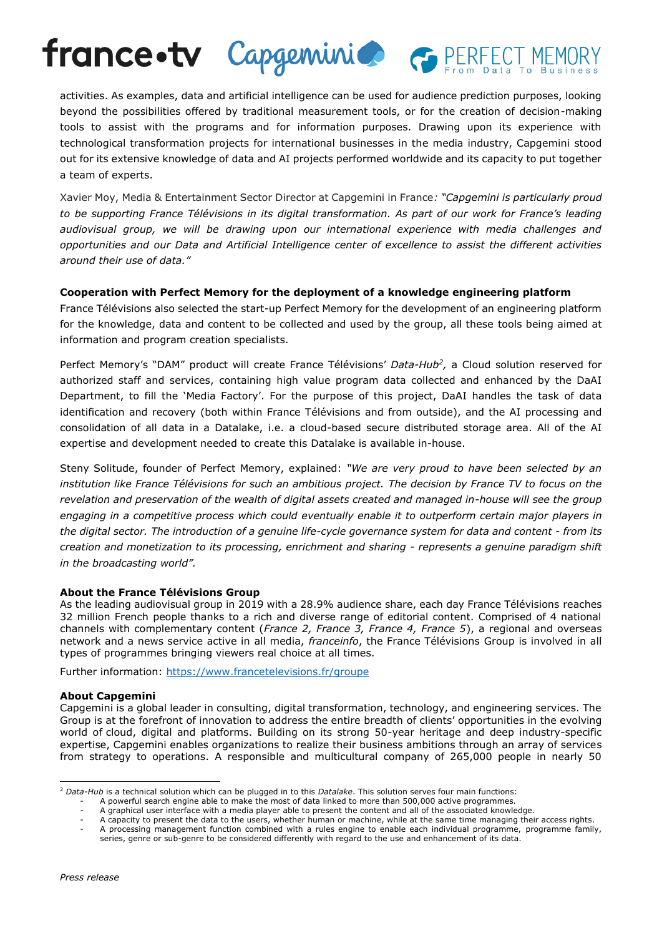activities. As examples, data and artificial intelligence can be used for audience prediction purposes, looking beyond the possibilities offered by traditional measurement tools, or for the creation of decision-making tools to assist with the programs and for information purposes. Drawing upon its experience with technological transformation projects for international businesses in the media industry, Capgemini stood out for its extensive knowledge of data and AI projects performed worldwide and its capacity to put together a team of experts.

france•tv Capgeminico es PERFEC

Xavier Moy, Media & Entertainment Sector Director at Capgemini in France*: "Capgemini is particularly proud to be supporting France Télévisions in its digital transformation. As part of our work for France's leading audiovisual group, we will be drawing upon our international experience with media challenges and opportunities and our Data and Artificial Intelligence center of excellence to assist the different activities around their use of data."*

## **Cooperation with Perfect Memory for the deployment of a knowledge engineering platform**

France Télévisions also selected the start-up Perfect Memory for the development of an engineering platform for the knowledge, data and content to be collected and used by the group, all these tools being aimed at information and program creation specialists.

Perfect Memory's "DAM" product will create France Télévisions' *Data-Hub<sup>2</sup> ,* a Cloud solution reserved for authorized staff and services, containing high value program data collected and enhanced by the DaAI Department, to fill the 'Media Factory'. For the purpose of this project, DaAI handles the task of data identification and recovery (both within France Télévisions and from outside), and the AI processing and consolidation of all data in a Datalake, i.e. a cloud-based secure distributed storage area. All of the AI expertise and development needed to create this Datalake is available in-house.

Steny Solitude, founder of Perfect Memory, explained: *"We are very proud to have been selected by an*  institution like France Télévisions for such an ambitious project. The decision by France TV to focus on the *revelation and preservation of the wealth of digital assets created and managed in-house will see the group engaging in a competitive process which could eventually enable it to outperform certain major players in the digital sector. The introduction of a genuine life-cycle governance system for data and content - from its creation and monetization to its processing, enrichment and sharing - represents a genuine paradigm shift in the broadcasting world".*

### **About the France Télévisions Group**

As the leading audiovisual group in 2019 with a 28.9% audience share, each day France Télévisions reaches 32 million French people thanks to a rich and diverse range of editorial content. Comprised of 4 national channels with complementary content (*France 2, France 3, France 4, France 5*), a regional and overseas network and a news service active in all media, *franceinfo*, the France Télévisions Group is involved in all types of programmes bringing viewers real choice at all times.

Further information:<https://www.francetelevisions.fr/groupe>

#### **About Capgemini**

Capgemini is a global leader in consulting, digital transformation, technology, and engineering services. The Group is at the forefront of innovation to address the entire breadth of clients' opportunities in the evolving world of cloud, digital and platforms. Building on its strong 50-year heritage and deep industry-specific expertise, Capgemini enables organizations to realize their business ambitions through an array of services from strategy to operations. A responsible and multicultural company of 265,000 people in nearly 50

<sup>2</sup> *Data-Hub* is a technical solution which can be plugged in to this *Datalake*. This solution serves four main functions:

A powerful search engine able to make the most of data linked to more than 500,000 active programmes.

<sup>-</sup> A graphical user interface with a media player able to present the content and all of the associated knowledge.

A capacity to present the data to the users, whether human or machine, while at the same time managing their access rights. A processing management function combined with a rules engine to enable each individual programme, programme family,

series, genre or sub-genre to be considered differently with regard to the use and enhancement of its data.